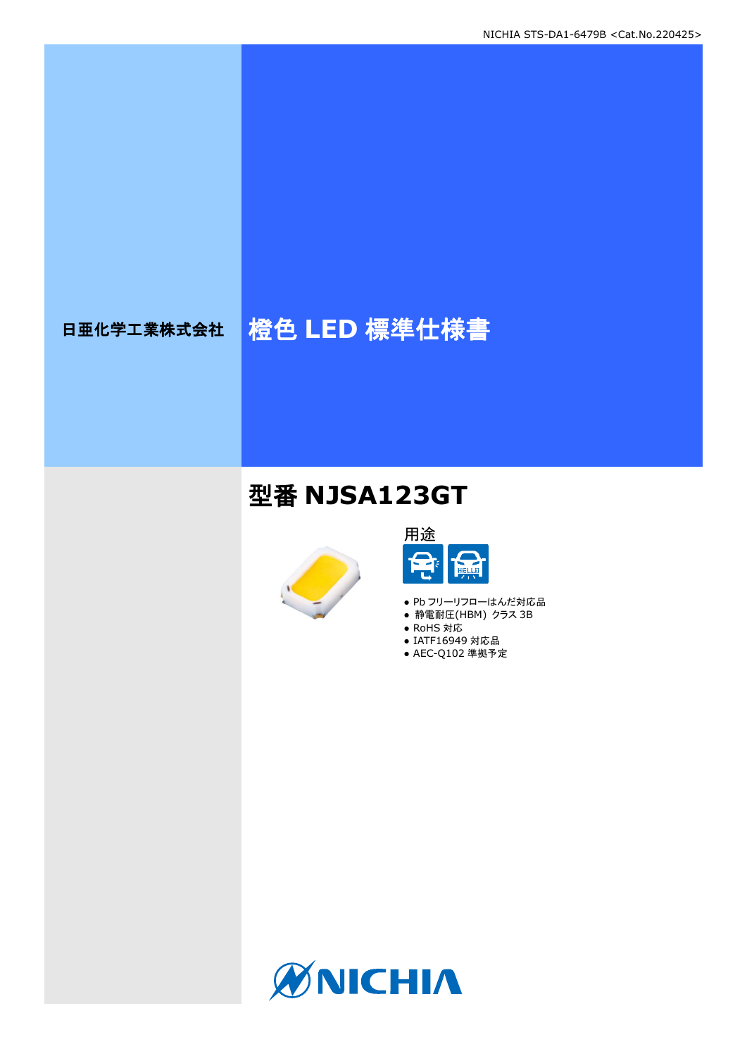# 日亜化学工業株式会社 格色 LED 標準仕様書

## 型番 **NJSA123GT**





- Pb フリーリフローはんだ対応品
- **静電耐圧(HBM) クラス 3B**
- RoHS 対応
- IATF16949 対応品
- AEC-Q102 準拠予定

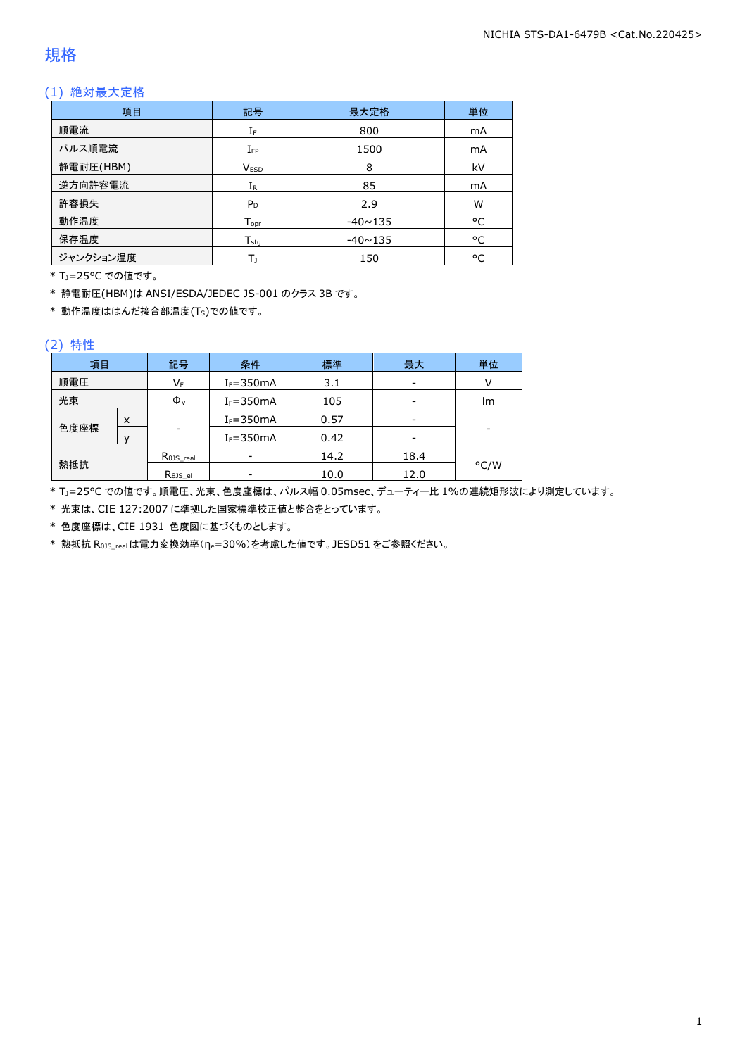### 規格

### (1) 絶対最大定格

| 項目        | 記号               | 最大定格           | 単位 |
|-----------|------------------|----------------|----|
| 順電流       | IF               | 800            | mA |
| パルス順電流    | $I_{FP}$         | 1500           | mA |
| 静電耐圧(HBM) | <b>VESD</b>      | 8              | kV |
| 逆方向許容電流   | $I_{R}$          | 85             | mA |
| 許容損失      | $P_D$            | 2.9            | W  |
| 動作温度      | $T_{\text{opt}}$ | $-40 \sim 135$ | °C |
| 保存温度      | $T_{\text{stg}}$ | $-40 \sim 135$ | °C |
| ジャンクション温度 | Tı               | 150            | °C |

\* TJ=25°C での値です。

\* 静電耐圧(HBM)は ANSI/ESDA/JEDEC JS-001 のクラス 3B です。

\* 動作温度ははんだ接合部温度(TS)での値です。

#### (2) 特性

| 項目   |   | 記号                   | 条件            | 標準   | 最大   | 単位   |
|------|---|----------------------|---------------|------|------|------|
| 順電圧  |   | VF                   | $I_F = 350mA$ | 3.1  | -    |      |
| 光束   |   | $\Phi_{v}$           | $I_F = 350mA$ | 105  | -    | lm   |
|      | X |                      | $I_F = 350mA$ | 0.57 |      |      |
| 色度座標 |   | ۰                    | $I_F = 350mA$ | 0.42 |      | -    |
|      |   | $R_{\theta}$ JS real |               | 14.2 | 18.4 |      |
| 熱抵抗  |   | Rejs el              |               | 10.0 | 12.0 | °C/W |

\* TJ=25°C での値です。順電圧、光束、色度座標は、パルス幅 0.05msec、デューティー比 1%の連続矩形波により測定しています。

\* 光束は、CIE 127:2007 に準拠した国家標準校正値と整合をとっています。

\* 色度座標は、CIE 1931 色度図に基づくものとします。

\* 熱抵抗 RθJS\_realは電力変換効率(ηe=30%)を考慮した値です。JESD51 をご参照ください。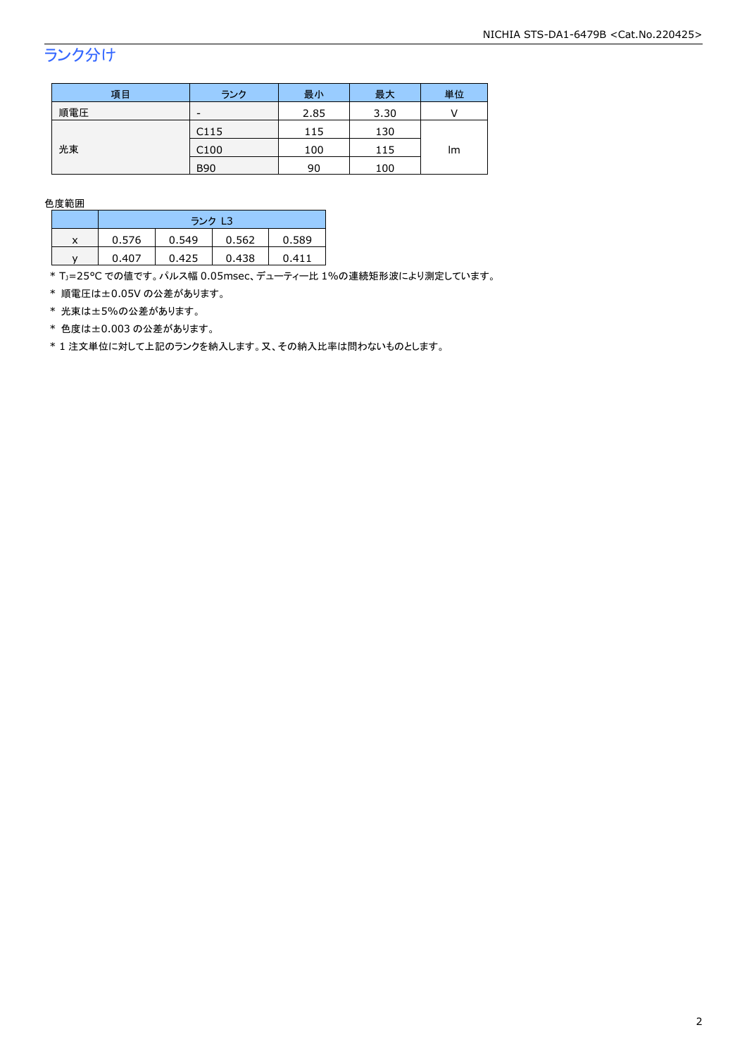## ランク分け

| 項目  | ランク                      | 最小   | 最大   | 単位 |  |
|-----|--------------------------|------|------|----|--|
| 順電圧 | $\overline{\phantom{a}}$ | 2.85 | 3.30 |    |  |
|     | C <sub>115</sub>         | 115  | 130  | Im |  |
| 光束  | C <sub>100</sub>         | 100  | 115  |    |  |
|     | <b>B90</b>               | 90   | 100  |    |  |

色度範囲

|   | ランク L3 |       |       |       |  |
|---|--------|-------|-------|-------|--|
| x | 0.576  | 0.549 | 0.562 | 0.589 |  |
|   | 0.407  | 0.425 | 0.438 | 0411  |  |

\* Tj=25°C での値です。パルス幅 0.05msec、デューティー比 1%の連続矩形波により測定しています。

\* 順電圧は±0.05V の公差があります。

\* 光束は±5%の公差があります。

\* 色度は±0.003 の公差があります。

\* 1 注文単位に対して上記のランクを納入します。又、その納入比率は問わないものとします。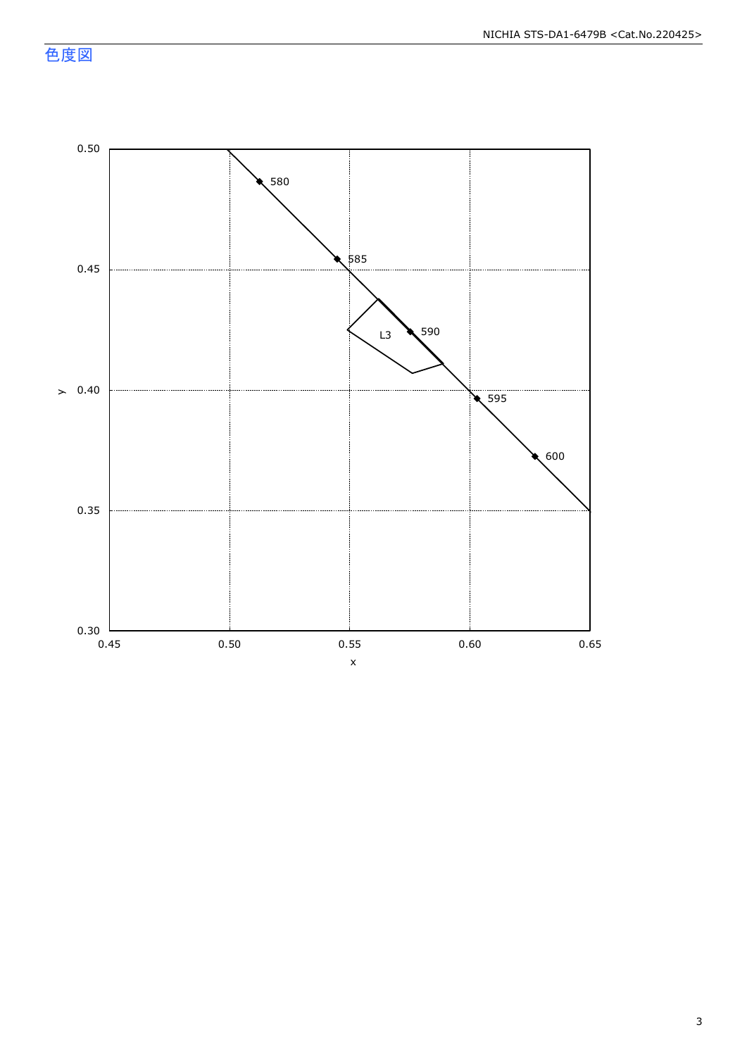色度図

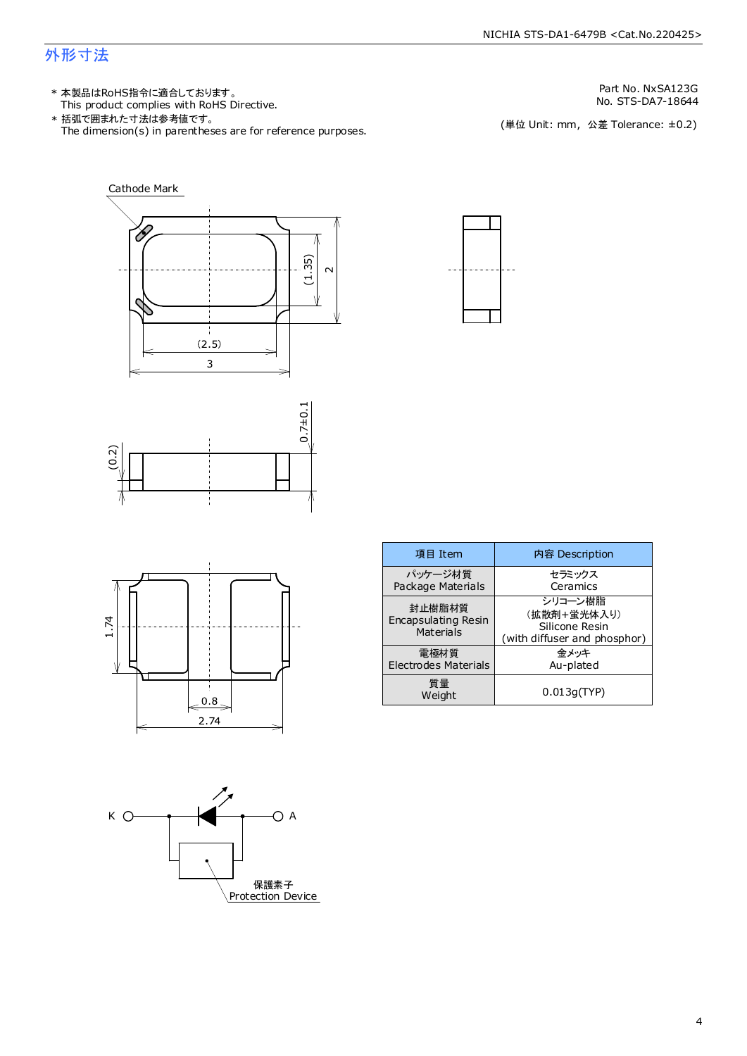### 外形寸法

This product complies with RoHS Directive. 本製品はRoHS指令に適合しております。 \*

The dimension(s) in parentheses are for reference purposes. 括弧で囲まれた寸法は参考値です。 \*

Part No. NxSA123G

No. STS-DA7-18644<br>(単位 Unit: mm,公差 Tolerance: ±0.2)









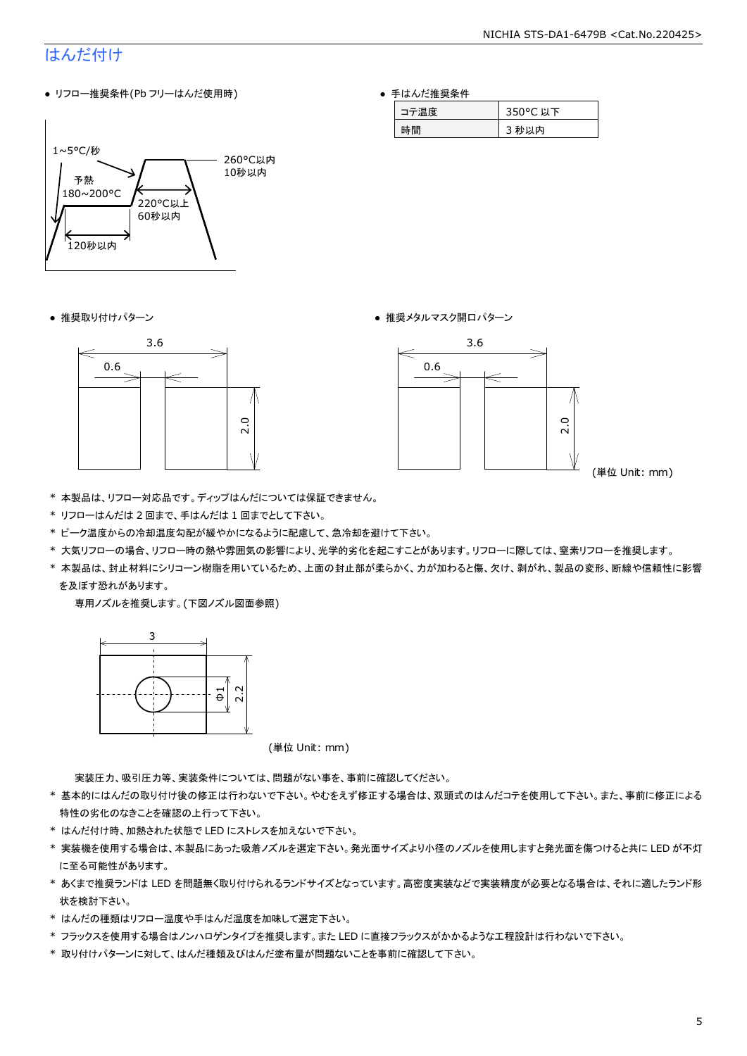### はんだ付け

● リフロー推奨条件(Pb フリーはんだ使用時)



● 手はんだ推奨条件

| ₩ | 以下<br>ັ |
|---|---------|
| 問 | 内       |

● 推奨取り付けパターン ろんじょう しょうしゃ ゆうしゃ ウィック・サービス きゅうしょく 推奨メタルマスク開口パターン





(単位 Unit: mm)

- \* 本製品は、リフロー対応品です。ディップはんだについては保証できません。
- \* リフローはんだは 2 回まで、手はんだは 1 回までとして下さい。
- \* ピーク温度からの冷却温度勾配が緩やかになるように配慮して、急冷却を避けて下さい。
- \* 大気リフローの場合、リフロー時の熱や雰囲気の影響により、光学的劣化を起こすことがあります。リフローに際しては、窒素リフローを推奨します。
- \* 本製品は、封止材料にシリコーン樹脂を用いているため、上面の封止部が柔らかく、力が加わると傷、欠け、剥がれ、製品の変形、断線や信頼性に影響 を及ぼす恐れがあります。

専用ノズルを推奨します。(下図ノズル図面参照)



(単位 Unit: mm)

実装圧力、吸引圧力等、実装条件については、問題がない事を、事前に確認してください。

- \* 基本的にはんだの取り付け後の修正は行わないで下さい。やむをえず修正する場合は、双頭式のはんだコテを使用して下さい。また、事前に修正による 特性の劣化のなきことを確認の上行って下さい。
- \* はんだ付け時、加熱された状態で LED にストレスを加えないで下さい。
- \* 実装機を使用する場合は、本製品にあった吸着ノズルを選定下さい。発光面サイズより小径のノズルを使用しますと発光面を傷つけると共に LED が不灯 に至る可能性があります。
- \* あくまで推奨ランドは LED を問題無く取り付けられるランドサイズとなっています。高密度実装などで実装精度が必要となる場合は、それに適したランド形 状を検討下さい。
- \* はんだの種類はリフロー温度や手はんだ温度を加味して選定下さい。
- \* フラックスを使用する場合はノンハロゲンタイプを推奨します。また LED に直接フラックスがかかるような工程設計は行わないで下さい。
- \* 取り付けパターンに対して、はんだ種類及びはんだ塗布量が問題ないことを事前に確認して下さい。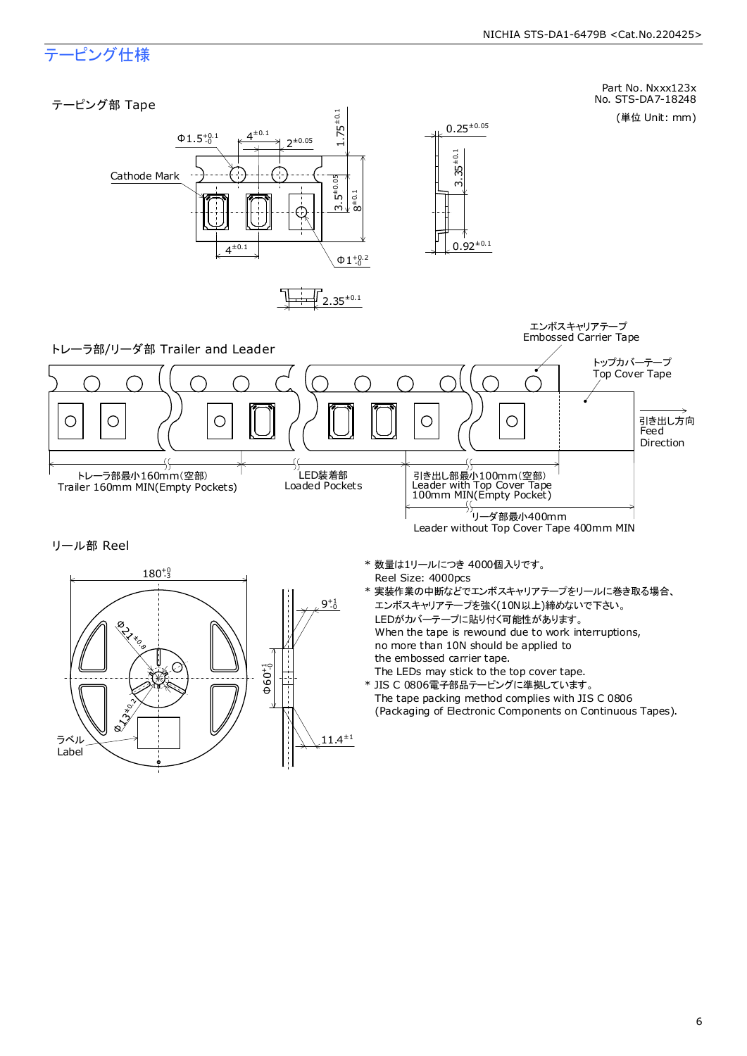### テーピング仕様

ラベル Label



 $11.4^{\pm1}$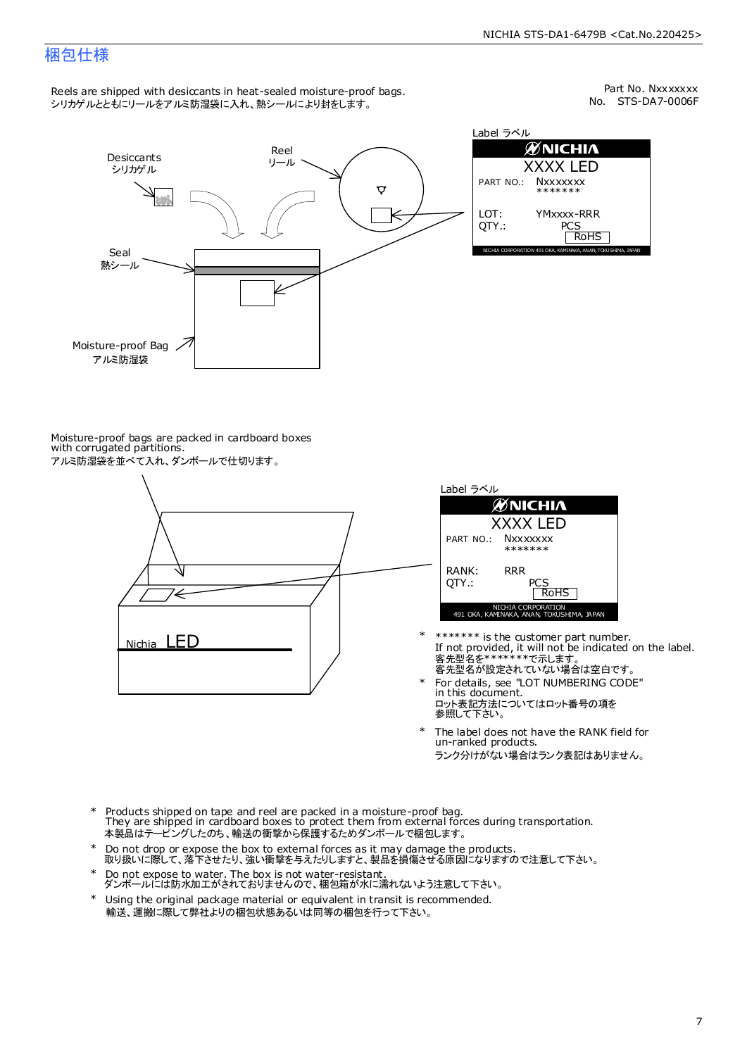### 梱包仕様

Reels are shipped with desiccants in heat-sealed moisture-proof bags. シリカゲルとともにリールをアルミ防湿袋に入れ、熱シールにより封をします。

No. STS-DA7-0006F Part No. Nxxxxxxx



Label ラベル  $\emptyset$ Nichia XXXX LED PART NO.: **Nxxxxxxx** \*\*\*\*\*\*\* LOT: YMxxxx-RRR QTY.: PCS<br>RoHS INAKA, ANAN, TOKUSHIMA, JA

Moisture-proof bags are packed in cardboard boxes with corrugated partitions. アルミ防湿袋を並べて入れ、ダンボールで仕切ります。





- 客先型名が設定されていない場合は空白です。 客先型名を\*\*\*\*\*\*\*で示します。 If not provided, it will not be indicated on the label. \*\*\*\*\*\*\* is the customer part number.
- For details, see "LOT NUMBERING CODE" in this document. ロット表記方法についてはロット番号の項を<br>参照して下さい。 \*
- The label does not have the RANK field for un-ranked products. ランク分けがない場合はランク表記はありません。 \*
- Products shipped on tape and reel are packed in a moisture-proof bag. They are shipped in cardboard boxes to protect them from external forces during transportation. 本製品はテーピングしたのち、輸送の衝撃から保護するためダンボールで梱包します。 \*
- Do not drop or expose the box to external forces as it may damage the products. 取り扱いに際して、落下させたり、強い衝撃を与えたりしますと、製品を損傷させる原因になりますので注意して下さい。 \*
- Do not expose to water. The box is not water-resistant. ダンボールには防水加工がされておりませんので、梱包箱が水に濡れないよう注意して下さい。 \*
- \* Using the original package material or equivalent in transit is recommended. 輸送、運搬に際して弊社よりの梱包状態あるいは同等の梱包を行って下さい。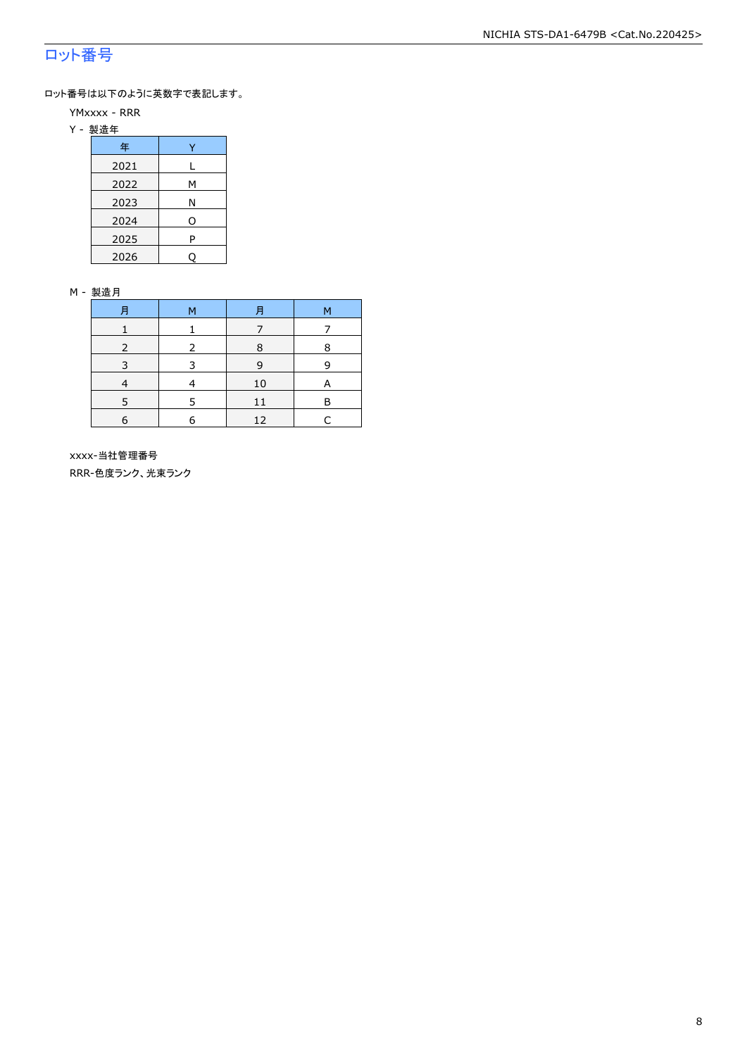### ロット番号

ロット番号は以下のように英数字で表記します。

- YMxxxx RRR
- Y 製造年

| 年    |   |
|------|---|
| 2021 | L |
| 2022 | М |
| 2023 | Ν |
| 2024 | O |
| 2025 | P |
| 2026 |   |

#### M - 製造月

| 月 | M | 月  | М |
|---|---|----|---|
|   |   |    |   |
|   |   | 8  | 8 |
| 3 | ₹ | 9  | q |
|   |   | 10 | А |
|   |   | 11 | в |
| 6 | F | 12 |   |

 xxxx-当社管理番号 RRR-色度ランク、光束ランク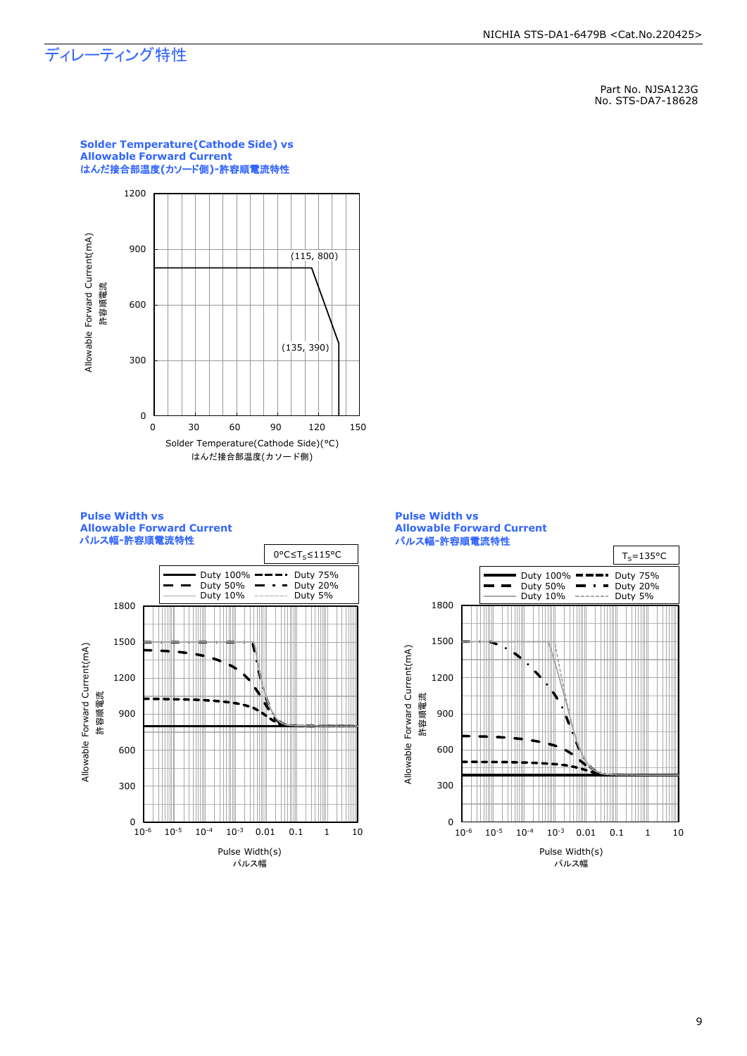### ディレーティング特性

Part No. NJSA123G No. STS-DA7-18628



**Solder Temperature(Cathode Side) vs** 

**Pulse Width vs Allowable Forward Current** パルス幅**-**許容順電流特性



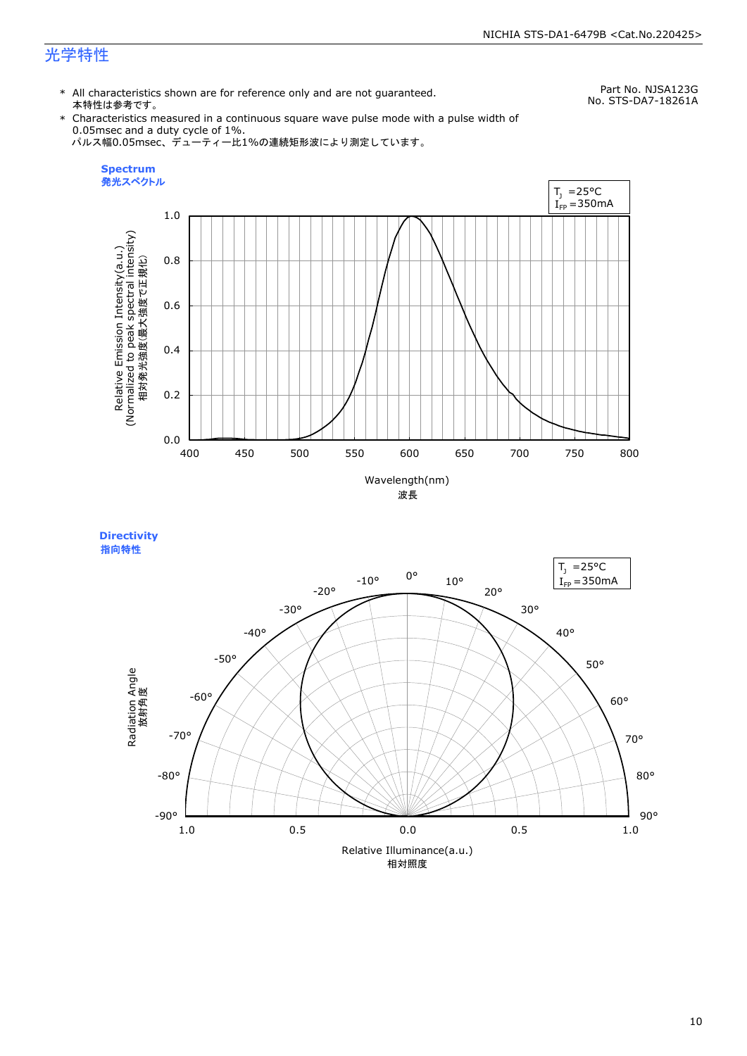### 光学特性

\* All characteristics shown are for reference only and are not guaranteed. 本特性は参考です。

Part No. NJSA123G No. STS-DA7-18261A

\* Characteristics measured in a continuous square wave pulse mode with a pulse width of 0.05msec and a duty cycle of 1%. パルス幅0.05msec、デューティー比1%の連続矩形波により測定しています。



**Directivity**  指向特性

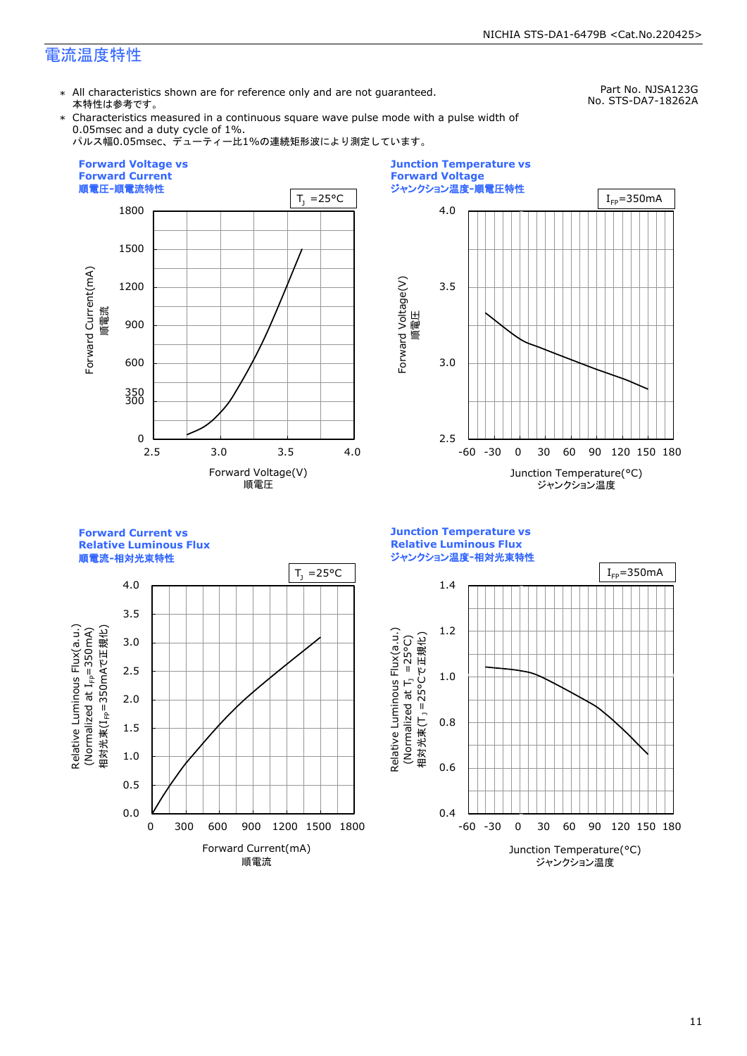### 電流温度特性

\* All characteristics shown are for reference only and are not guaranteed. 本特性は参考です。

Part No. NJSA123G No. STS-DA7-18262A

\* Characteristics measured in a continuous square wave pulse mode with a pulse width of 0.05msec and a duty cycle of 1%.

パルス幅0.05msec、デューティー比1%の連続矩形波により測定しています。





**Forward Current vs Relative Luminous Flux**

順電流**-**相対光束特性

4.0 3.5 Relative Luminous Flux(a.u.)<br>(Normalized at I<sub>FP</sub>=350mA) Relative Luminous Flux(a.u.) 相対光束(I<sub>FP</sub>=350mAで正規化) 相対光束(I<sub>FP</sub>=350mAで正規化) (Normalized at  $I_{\textsf{FP}}$ =350mA) 3.0 2.5 2.0 1.5 1.0 0.5 0.0 0 300 600 900 1200 1500 1800 Forward Current(mA) 順電流

**Junction Temperature vs Relative Luminous Flux** ジャンクション温度**-**相対光束特性

Relative Luminous Flux(a.u.)

Relative Luminous Flux(a.u.)

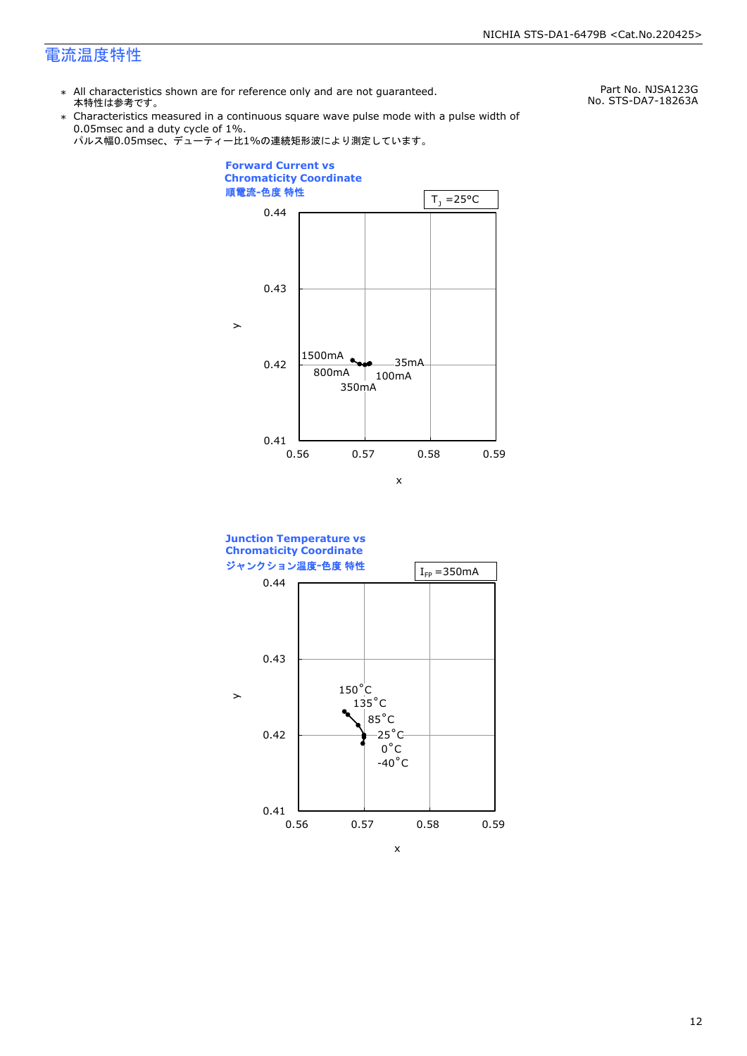### 電流温度特性

\* All characteristics shown are for reference only and are not guaranteed. 本特性は参考です。

Part No. NJSA123G No. STS-DA7-18263A

\* Characteristics measured in a continuous square wave pulse mode with a pulse width of 0.05msec and a duty cycle of 1%.





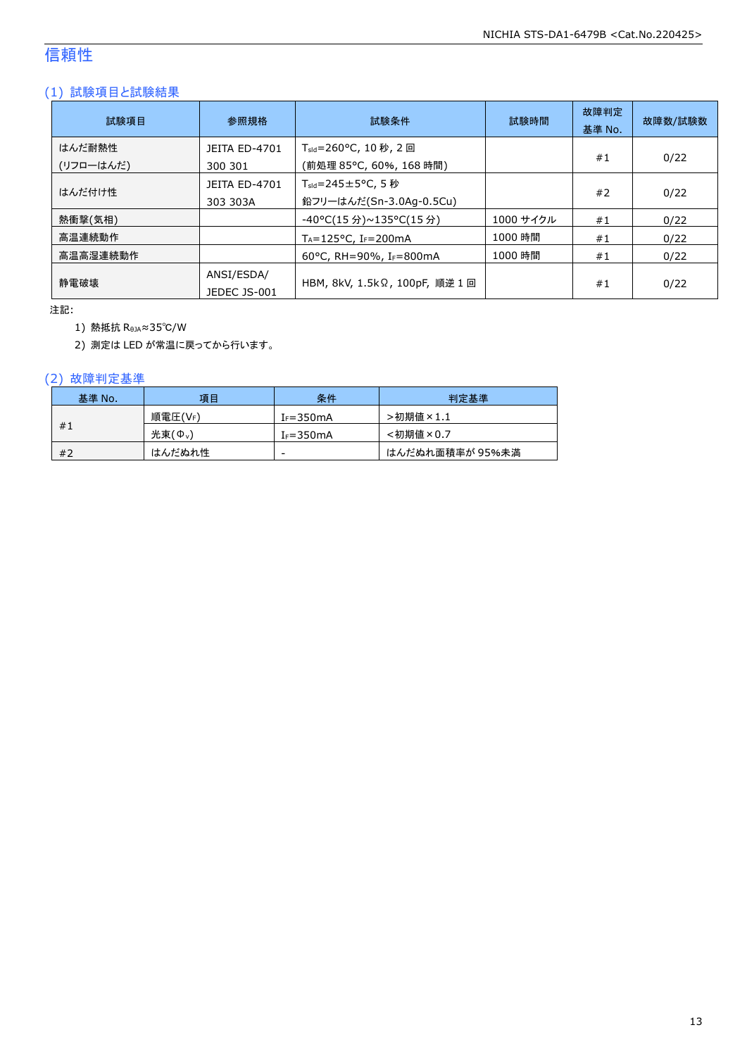### 信頼性

### (1) 試験項目と試験結果

| 試験項目                | 参照規格                             | 試験条件                                                         | 試験時間      | 故障判定<br>基準 No. | 故障数/試験数 |
|---------------------|----------------------------------|--------------------------------------------------------------|-----------|----------------|---------|
| はんだ耐熱性<br>(リフローはんだ) | <b>JEITA ED-4701</b><br>300 301  | T <sub>sld</sub> =260°C, 10 秒, 2 回<br>(前処理 85℃, 60%, 168 時間) |           | #1             | 0/22    |
| はんだ付け性              | <b>JEITA ED-4701</b><br>303 303A | $T_{\text{std}}$ =245±5°C, 5秒<br>鉛フリーはんだ(Sn-3.0Ag-0.5Cu)     |           | #2             | 0/22    |
| 熱衝撃(気相)             |                                  | -40°C(15 分)~135°C(15 分)                                      | 1000 サイクル | #1             | 0/22    |
| 高温連続動作              |                                  | $T_A = 125$ °C, I <sub>F</sub> =200mA                        | 1000 時間   | #1             | 0/22    |
| 高温高湿連続動作            |                                  | 60°C, RH=90%, IF=800mA                                       | 1000 時間   | #1             | 0/22    |
| 静電破壊                | ANSI/ESDA/<br>JEDEC JS-001       | HBM, 8kV, 1.5kΩ, 100pF, 順逆 1 回                               |           | #1             | 0/22    |

注記:

1) 熱抵抗 RθJA≈35℃/W

2) 測定は LED が常温に戻ってから行います。

#### (2) 故障判定基準

| 基準 No. | 項目      | 条件            | 判定基準            |
|--------|---------|---------------|-----------------|
|        | 順電圧(VF) | $I_F = 350mA$ | >初期値×1.1        |
| #1     | 光束(Ф、)  | $I_F = 350mA$ | <初期値×0.7        |
| #2     | はんだぬれ性  | -             | はんだぬれ面積率が 95%未満 |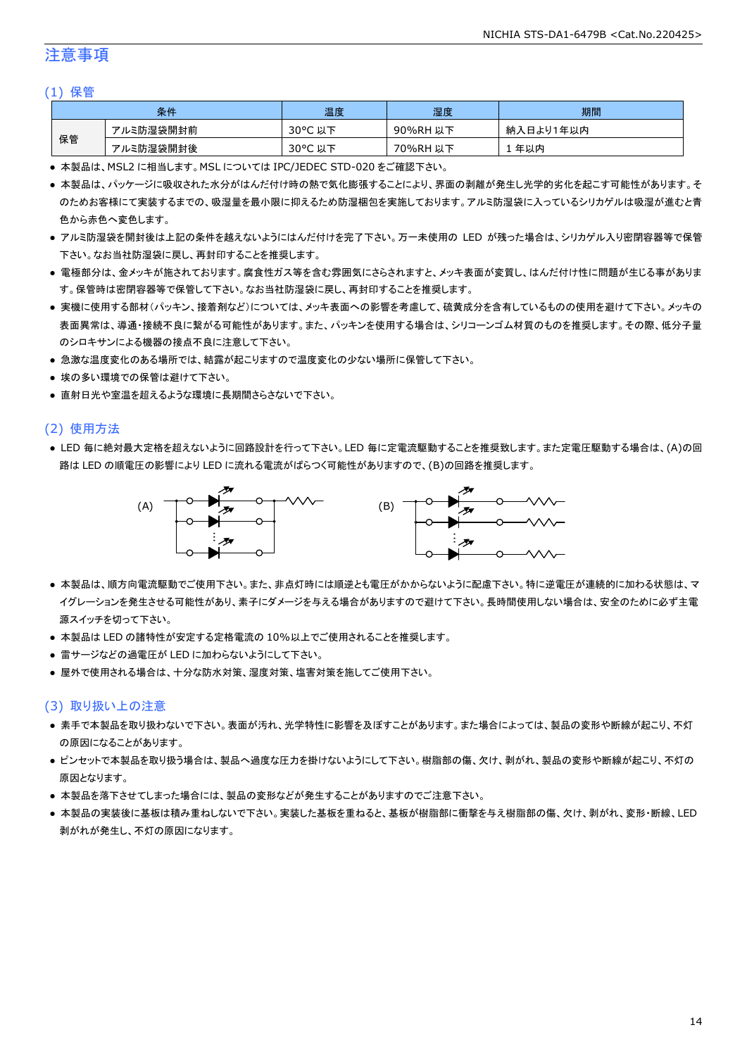### 注意事項

#### (1) 保管

|    | 条件        | 温度                     | 湿度          | 期間              |
|----|-----------|------------------------|-------------|-----------------|
|    | アルミ防湿袋開封前 | $30^{\circ}$ C<br>以下   | 90%RH<br>以下 | ∛入日より1年以内<br>納. |
| 保管 | アルミ防湿袋開封後 | $30^{\circ}$ C<br>. 以下 | 70%RH<br>以下 | 年以内             |

● 本製品は、MSL2 に相当します。MSL については IPC/JEDEC STD-020 をご確認下さい。

- 本製品は、パッケージに吸収された水分がはんだ付け時の熱で気化膨張することにより、界面の剥離が発生し光学的劣化を起こす可能性があります。そ のためお客様にて実装するまでの、吸湿量を最小限に抑えるため防湿梱包を実施しております。アルミ防湿袋に入っているシリカゲルは吸湿が進むと青 色から赤色へ変色します。
- アルミ防湿袋を開封後は上記の条件を越えないようにはんだ付けを完了下さい。万一未使用の LED が残った場合は、シリカゲル入り密閉容器等で保管 下さい。なお当社防湿袋に戻し、再封印することを推奨します。
- 電極部分は、金メッキが施されております。腐食性ガス等を含む雰囲気にさらされますと、メッキ表面が変質し、はんだ付け性に問題が生じる事がありま す。保管時は密閉容器等で保管して下さい。なお当社防湿袋に戻し、再封印することを推奨します。
- 実機に使用する部材(パッキン、接着剤など)については、メッキ表面への影響を考慮して、硫黄成分を含有しているものの使用を避けて下さい。メッキの 表面異常は、導通・接続不良に繋がる可能性があります。また、パッキンを使用する場合は、シリコーンゴム材質のものを推奨します。その際、低分子量 のシロキサンによる機器の接点不良に注意して下さい。
- 急激な温度変化のある場所では、結露が起こりますので温度変化の少ない場所に保管して下さい。
- 埃の多い環境での保管は避けて下さい。
- 直射日光や室温を超えるような環境に長期間さらさないで下さい。

#### (2) 使用方法

● LED 毎に絶対最大定格を超えないように回路設計を行って下さい。LED 毎に定電流駆動することを推奨致します。また定電圧駆動する場合は、(A)の回 路は LED の順電圧の影響により LED に流れる電流がばらつく可能性がありますので、(B)の回路を推奨します。



- 本製品は、順方向電流駆動でご使用下さい。また、非点灯時には順逆とも電圧がかからないように配慮下さい。特に逆電圧が連続的に加わる状態は、マ イグレーションを発生させる可能性があり、素子にダメージを与える場合がありますので避けて下さい。長時間使用しない場合は、安全のために必ず主電 源スイッチを切って下さい。
- 本製品は LED の諸特性が安定する定格電流の 10%以上でご使用されることを推奨します。
- 雷サージなどの過電圧が LED に加わらないようにして下さい。
- 屋外で使用される場合は、十分な防水対策、湿度対策、塩害対策を施してご使用下さい。

#### (3) 取り扱い上の注意

- 素手で本製品を取り扱わないで下さい。表面が汚れ、光学特性に影響を及ぼすことがあります。また場合によっては、製品の変形や断線が起こり、不灯 の原因になることがあります。
- ピンセットで本製品を取り扱う場合は、製品へ過度な圧力を掛けないようにして下さい。樹脂部の傷、欠け、剥がれ、製品の変形や断線が起こり、不灯の 原因となります。
- 本製品を落下させてしまった場合には、製品の変形などが発生することがありますのでご注意下さい。
- 本製品の実装後に基板は積み重ねしないで下さい。実装した基板を重ねると、基板が樹脂部に衝撃を与え樹脂部の傷、欠け、剥がれ、変形・断線、LED 剥がれが発生し、不灯の原因になります。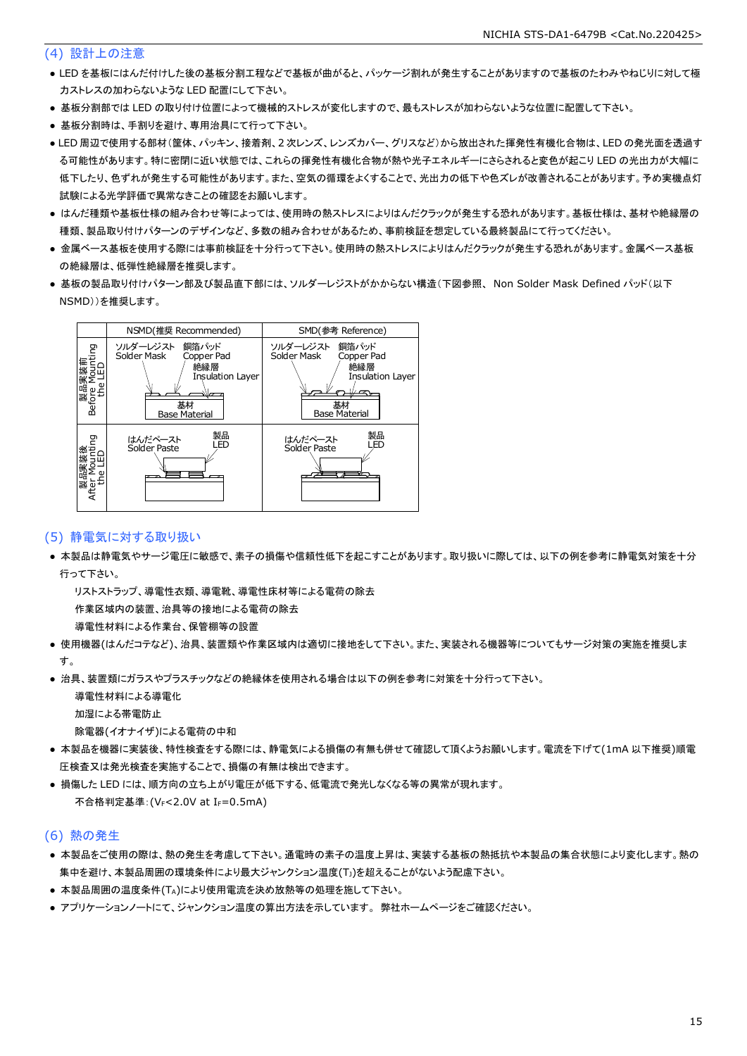#### (4) 設計上の注意

- LED を基板にはんだ付けした後の基板分割工程などで基板が曲がると、パッケージ割れが発生することがありますので基板のたわみやねじりに対して極 力ストレスの加わらないような LED 配置にして下さい。
- 基板分割部では LED の取り付け位置によって機械的ストレスが変化しますので、最もストレスが加わらないような位置に配置して下さい。
- 基板分割時は、手割りを避け、専用治具にて行って下さい。
- LED 周辺で使用する部材(筐体、パッキン、接着剤、2 次レンズ、レンズカバー、グリスなど)から放出された揮発性有機化合物は、LED の発光面を透過す る可能性があります。特に密閉に近い状態では、これらの揮発性有機化合物が熱や光子エネルギーにさらされると変色が起こり LED の光出力が大幅に 低下したり、色ずれが発生する可能性があります。また、空気の循環をよくすることで、光出力の低下や色ズレが改善されることがあります。予め実機点灯 試験による光学評価で異常なきことの確認をお願いします。
- はんだ種類や基板仕様の組み合わせ等によっては、使用時の熱ストレスによりはんだクラックが発生する恐れがあります。基板仕様は、基材や絶縁層の 種類、製品取り付けパターンのデザインなど、多数の組み合わせがあるため、事前検証を想定している最終製品にて行ってください。
- 金属ベース基板を使用する際には事前検証を十分行って下さい。使用時の熱ストレスによりはんだクラックが発生する恐れがあります。金属ベース基板 の絶縁層は、低弾性絶縁層を推奨します。
- 基板の製品取り付けパターン部及び製品直下部には、ソルダーレジストがかからない構造(下図参照、 Non Solder Mask Defined パッド(以下 NSMD))を推奨します。



#### (5) 静電気に対する取り扱い

● 本製品は静電気やサージ電圧に敏感で、素子の損傷や信頼性低下を起こすことがあります。取り扱いに際しては、以下の例を参考に静電気対策を十分 行って下さい。

 リストストラップ、導電性衣類、導電靴、導電性床材等による電荷の除去 作業区域内の装置、治具等の接地による電荷の除去

導電性材料による作業台、保管棚等の設置

- 使用機器(はんだコテなど)、治具、装置類や作業区域内は適切に接地をして下さい。また、実装される機器等についてもサージ対策の実施を推奨しま す。
- 治具、装置類にガラスやプラスチックなどの絶縁体を使用される場合は以下の例を参考に対策を十分行って下さい。

導電性材料による導電化

加湿による帯電防止

除電器(イオナイザ)による電荷の中和

- 本製品を機器に実装後、特性検査をする際には、静電気による損傷の有無も併せて確認して頂くようお願いします。電流を下げて(1mA 以下推奨)順電 圧検査又は発光検査を実施することで、損傷の有無は検出できます。
- 損傷した LED には、順方向の立ち上がり電圧が低下する、低電流で発光しなくなる等の異常が現れます。 不合格判定基準:(VF<2.0V at IF=0.5mA)

#### (6) 熱の発生

- 本製品をご使用の際は、熱の発生を考慮して下さい。通電時の素子の温度上昇は、実装する基板の熱抵抗や本製品の集合状態により変化します。熱の 集中を避け、本製品周囲の環境条件により最大ジャンクション温度(TJ)を超えることがないよう配慮下さい。
- 本製品周囲の温度条件(TA)により使用電流を決め放熱等の処理を施して下さい。
- アプリケーションノートにて、ジャンクション温度の算出方法を示しています。 弊社ホームページをご確認ください。